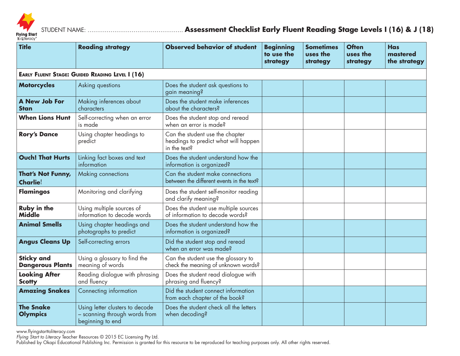

STUDENT NAME: ………………………………………….. **Assessment Checklist Early Fluent Reading Stage Levels I (16) & J (18)**

| <b>Title</b>                                           | <b>Reading strategy</b>                                                              | <b>Observed behavior of student</b>                                                     | <b>Beginning</b><br>to use the<br>strategy | <b>Sometimes</b><br>uses the<br>strategy | <b>Often</b><br>uses the<br>strategy | <b>Has</b><br>mastered<br>the strategy |  |
|--------------------------------------------------------|--------------------------------------------------------------------------------------|-----------------------------------------------------------------------------------------|--------------------------------------------|------------------------------------------|--------------------------------------|----------------------------------------|--|
| <b>EARLY FLUENT STAGE: GUIDED READING LEVEL I (16)</b> |                                                                                      |                                                                                         |                                            |                                          |                                      |                                        |  |
| <b>Motorcycles</b>                                     | Asking questions                                                                     | Does the student ask questions to<br>gain meaning?                                      |                                            |                                          |                                      |                                        |  |
| A New Job For<br><b>Stan</b>                           | Making inferences about<br>characters                                                | Does the student make inferences<br>about the characters?                               |                                            |                                          |                                      |                                        |  |
| <b>When Lions Hunt</b>                                 | Self-correcting when an error<br>is made                                             | Does the student stop and reread<br>when an error is made?                              |                                            |                                          |                                      |                                        |  |
| <b>Rory's Dance</b>                                    | Using chapter headings to<br>predict                                                 | Can the student use the chapter<br>headings to predict what will happen<br>in the text? |                                            |                                          |                                      |                                        |  |
| <b>Ouch! That Hurts</b>                                | Linking fact boxes and text<br>information                                           | Does the student understand how the<br>information is organized?                        |                                            |                                          |                                      |                                        |  |
| That's Not Funny,<br><b>Charlie!</b>                   | Making connections                                                                   | Can the student make connections<br>between the different events in the text?           |                                            |                                          |                                      |                                        |  |
| <b>Flamingos</b>                                       | Monitoring and clarifying                                                            | Does the student self-monitor reading<br>and clarify meaning?                           |                                            |                                          |                                      |                                        |  |
| <b>Ruby in the</b><br><b>Middle</b>                    | Using multiple sources of<br>information to decode words                             | Does the student use multiple sources<br>of information to decode words?                |                                            |                                          |                                      |                                        |  |
| <b>Animal Smells</b>                                   | Using chapter headings and<br>photographs to predict                                 | Does the student understand how the<br>information is organized?                        |                                            |                                          |                                      |                                        |  |
| <b>Angus Cleans Up</b>                                 | Self-correcting errors                                                               | Did the student stop and reread<br>when an error was made?                              |                                            |                                          |                                      |                                        |  |
| <b>Sticky and</b><br><b>Dangerous Plants</b>           | Using a glossary to find the<br>meaning of words                                     | Can the student use the glossary to<br>check the meaning of unknown words?              |                                            |                                          |                                      |                                        |  |
| <b>Looking After</b><br><b>Scotty</b>                  | Reading dialogue with phrasing<br>and fluency                                        | Does the student read dialogue with<br>phrasing and fluency?                            |                                            |                                          |                                      |                                        |  |
| <b>Amazing Snakes</b>                                  | Connecting information                                                               | Did the student connect information<br>from each chapter of the book?                   |                                            |                                          |                                      |                                        |  |
| <b>The Snake</b><br><b>Olympics</b>                    | Using letter clusters to decode<br>- scanning through words from<br>beginning to end | Does the student check all the letters<br>when decoding?                                |                                            |                                          |                                      |                                        |  |

www.flyingstarttoliteracy.com

*Flying Start to Literacy* Teacher Resources © 2015 EC Licensing Pty Ltd.

Published by Okapi Educational Publishing Inc. Permission is granted for this resource to be reproduced for teaching purposes only. All other rights reserved.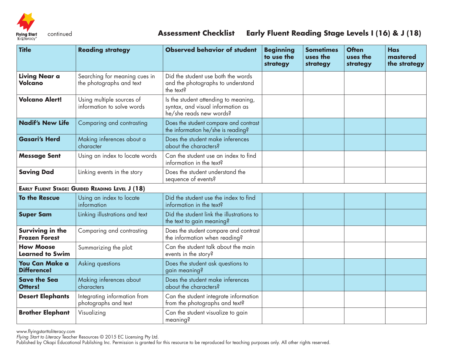

## continued **Assessment Checklist Early Fluent Reading Stage Levels I (16) & J (18)**

| <b>Title</b>                                | <b>Reading strategy</b>                                   | <b>Observed behavior of student</b>                                                                  | <b>Beginning</b><br>to use the<br>strategy | <b>Sometimes</b><br>uses the<br>strategy | <b>Often</b><br>uses the<br>strategy | <b>Has</b><br>mastered<br>the strategy |
|---------------------------------------------|-----------------------------------------------------------|------------------------------------------------------------------------------------------------------|--------------------------------------------|------------------------------------------|--------------------------------------|----------------------------------------|
| <b>Living Near a</b><br>Volcano             | Searching for meaning cues in<br>the photographs and text | Did the student use both the words<br>and the photographs to understand<br>the text?                 |                                            |                                          |                                      |                                        |
| <b>Volcano Alert!</b>                       | Using multiple sources of<br>information to solve words   | Is the student attending to meaning,<br>syntax, and visual information as<br>he/she reads new words? |                                            |                                          |                                      |                                        |
| <b>Nadif's New Life</b>                     | Comparing and contrasting                                 | Does the student compare and contrast<br>the information he/she is reading?                          |                                            |                                          |                                      |                                        |
| <b>Gasari's Herd</b>                        | Making inferences about a<br>character                    | Does the student make inferences<br>about the characters?                                            |                                            |                                          |                                      |                                        |
| <b>Message Sent</b>                         | Using an index to locate words                            | Can the student use an index to find<br>information in the text?                                     |                                            |                                          |                                      |                                        |
| <b>Saving Dad</b>                           | Linking events in the story                               | Does the student understand the<br>sequence of events?                                               |                                            |                                          |                                      |                                        |
|                                             | <b>EARLY FLUENT STAGE: GUIDED READING LEVEL J (18)</b>    |                                                                                                      |                                            |                                          |                                      |                                        |
| <b>To the Rescue</b>                        | Using an index to locate<br>information                   | Did the student use the index to find<br>information in the text?                                    |                                            |                                          |                                      |                                        |
| <b>Super Sam</b>                            | Linking illustrations and text                            | Did the student link the illustrations to<br>the text to gain meaning?                               |                                            |                                          |                                      |                                        |
| Surviving in the<br><b>Frozen Forest</b>    | Comparing and contrasting                                 | Does the student compare and contrast<br>the information when reading?                               |                                            |                                          |                                      |                                        |
| <b>How Moose</b><br><b>Learned to Swim</b>  | Summarizing the plot                                      | Can the student talk about the main<br>events in the story?                                          |                                            |                                          |                                      |                                        |
| <b>You Can Make a</b><br><b>Difference!</b> | Asking questions                                          | Does the student ask questions to<br>gain meaning?                                                   |                                            |                                          |                                      |                                        |
| <b>Save the Sea</b><br>Otters!              | Making inferences about<br>characters                     | Does the student make inferences<br>about the characters?                                            |                                            |                                          |                                      |                                        |
| <b>Desert Elephants</b>                     | Integrating information from<br>photographs and text      | Can the student integrate information<br>from the photographs and text?                              |                                            |                                          |                                      |                                        |
| <b>Brother Elephant</b>                     | Visualizing                                               | Can the student visualize to gain<br>meaning?                                                        |                                            |                                          |                                      |                                        |

www.flyingstarttoliteracy.com

*Flying Start to Literacy* Teacher Resources © 2015 EC Licensing Pty Ltd.

Published by Okapi Educational Publishing Inc. Permission is granted for this resource to be reproduced for teaching purposes only. All other rights reserved.